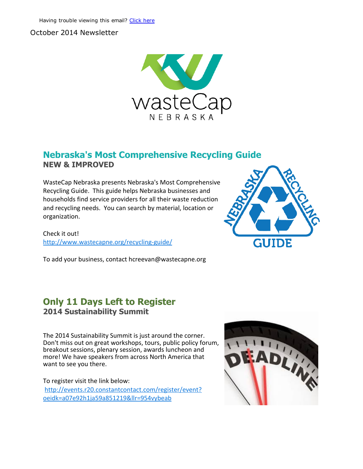#### October 2014 Newsletter



### Nebraska's Most Comprehensive Recycling Guide NEW & IMPROVED

WasteCap Nebraska presents Nebraska's Most Comprehensive Recycling Guide. This guide helps Nebraska businesses and households find service providers for all their waste reduction and recycling needs. You can search by material, location or organization.

Check it out! [http://www.wastecapne.org/recycling‐guide/](http://r20.rs6.net/tn.jsp?e=001RSRXsFxK5eQkqw-wTDvSuSTU4GV4UCt_Idg0z5ICUlqsGW5xXyPydC38TMWuz97hHCyXPWRzZ5Q5IGEBecoqgJn6KYzs9nAIWuf57jX694TrKymdJAujfLhE103zH9YDbY2M__M8bjI=)



### Only 11 Days Left to Register 2014 Sustainability Summit

The 2014 Sustainability Summit is just around the corner. Don't miss out on great workshops, tours, public policy forum, breakout sessions, plenary session, awards luncheon and more! We have speakers from across North America that want to see you there.

To register visit the link below: [http://events.r20.constantcontact.com/register/event?](http://r20.rs6.net/tn.jsp?e=001RSRXsFxK5eQkqw-wTDvSuSTU4GV4UCt_Idg0z5ICUlqsGW5xXyPydC38TMWuz97hHCyXPWRzZ5RFOyNH69UHS5ZZW4mP4lfwcrXo7QrWWD3HoqcVwqmRR4xXhBKFf8MZkwa_KFUukOIw_PfzN9Qp5TCN3XmzGjYcu1pafN-dzHvpXWNZ0ZXZij1Bm4t7Xe9XhG0R7XcrS2sZcpw53oJGEw==) oeidk=a07e92h1ja59a851219&llr=954vybeab



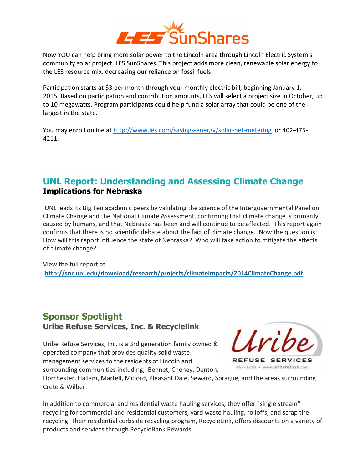

Now YOU can help bring more solar power to the Lincoln area through Lincoln Electric System's community solar project, LES SunShares. This project adds more clean, renewable solar energy to the LES resource mix, decreasing our reliance on fossil fuels.

Participation starts at \$3 per month through your monthly electric bill, beginning January 1, 2015. Based on participation and contribution amounts, LES will select a project size in October, up to 10 megawatts. Program participants could help fund a solar array that could be one of the largest in the state.

You may enroll online at http://www.les.com/savings-energy/solar-net-metering or 402-475-4211.

### UNL Report: Understanding and Assessing Climate Change Implications for Nebraska

UNL leads its Big Ten academic peers by validating the science of the Intergovernmental Panel on Climate Change and the National Climate Assessment, confirming that climate change is primarily caused by humans, and that Nebraska has been and will continue to be affected. This report again confirms that there is no scientific debate about the fact of climate change. Now the question is: How will this report influence the state of Nebraska? Who will take action to mitigate the effects of climate change?

View the full report at [http://snr.unl.edu/download/research/projects/climateimpacts/2014ClimateChange.pdf](http://r20.rs6.net/tn.jsp?e=001RSRXsFxK5eQkqw-wTDvSuSTU4GV4UCt_Idg0z5ICUlqsGW5xXyPydC38TMWuz97hHCyXPWRzZ5RiL5KhhBZwSUL_uBG5YIvGewmmT5INnEe2U0G-cCu78zwduk8FDOkmsSOHhbN1Swwq-h8TnAWNAUCk-Rte8zf0JbCBvLM-bRwOjkUxtrnnr_Lgs8_RozO5)

# Sponsor Spotlight

Uribe Refuse Services, Inc. & Recyclelink

Uribe Refuse Services, Inc. is a 3rd generation family owned & operated company that provides quality solid waste management services to the residents of Lincoln and surrounding communities including, Bennet, Cheney, Denton,



Dorchester, Hallam, Martell, Milford, Pleasant Dale, Seward, Sprague, and the areas surrounding Crete & Wilber.

In addition to commercial and residential waste hauling services, they offer "single stream" recycling for commercial and residential customers, yard waste hauling, rolloffs, and scrap tire recycling. Their residential curbside recycling program, RecycleLink, offers discounts on a variety of products and services through RecycleBank Rewards.